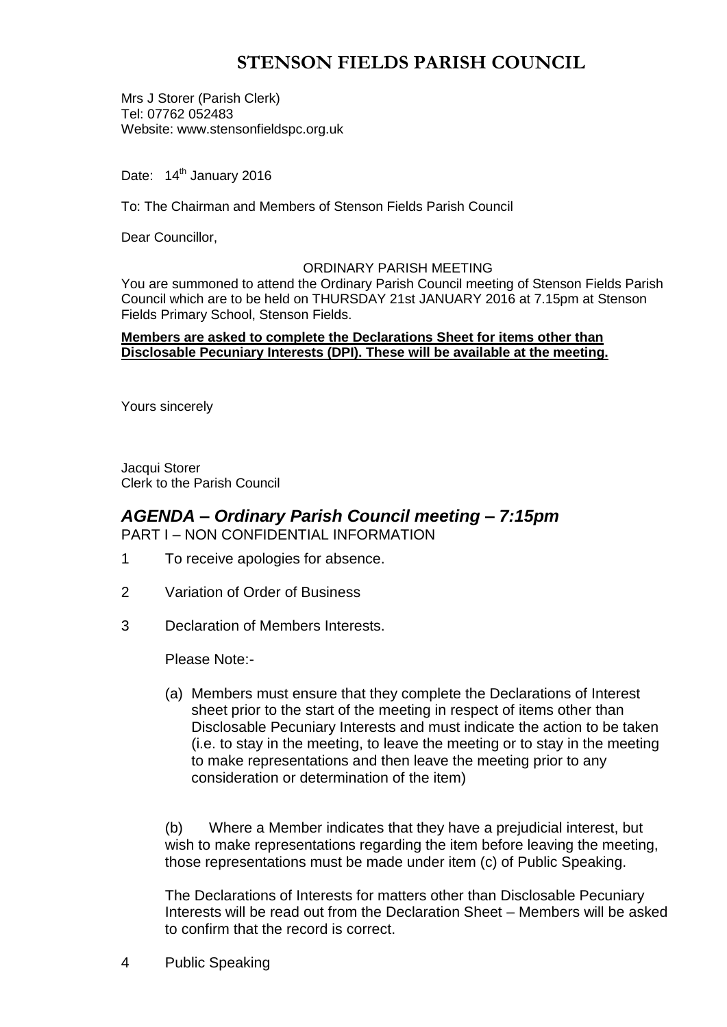# **STENSON FIELDS PARISH COUNCIL**

Mrs J Storer (Parish Clerk) Tel: 07762 052483 Website: www.stensonfieldspc.org.uk

Date: 14<sup>th</sup> January 2016

To: The Chairman and Members of Stenson Fields Parish Council

Dear Councillor,

#### ORDINARY PARISH MEETING

You are summoned to attend the Ordinary Parish Council meeting of Stenson Fields Parish Council which are to be held on THURSDAY 21st JANUARY 2016 at 7.15pm at Stenson Fields Primary School, Stenson Fields.

#### **Members are asked to complete the Declarations Sheet for items other than Disclosable Pecuniary Interests (DPI). These will be available at the meeting.**

Yours sincerely

Jacqui Storer Clerk to the Parish Council

## *AGENDA – Ordinary Parish Council meeting – 7:15pm* PART I – NON CONFIDENTIAL INFORMATION

- 1 To receive apologies for absence.
- 2 Variation of Order of Business
- 3 Declaration of Members Interests.

Please Note:-

(a) Members must ensure that they complete the Declarations of Interest sheet prior to the start of the meeting in respect of items other than Disclosable Pecuniary Interests and must indicate the action to be taken (i.e. to stay in the meeting, to leave the meeting or to stay in the meeting to make representations and then leave the meeting prior to any consideration or determination of the item)

(b) Where a Member indicates that they have a prejudicial interest, but wish to make representations regarding the item before leaving the meeting, those representations must be made under item (c) of Public Speaking.

The Declarations of Interests for matters other than Disclosable Pecuniary Interests will be read out from the Declaration Sheet – Members will be asked to confirm that the record is correct.

4 Public Speaking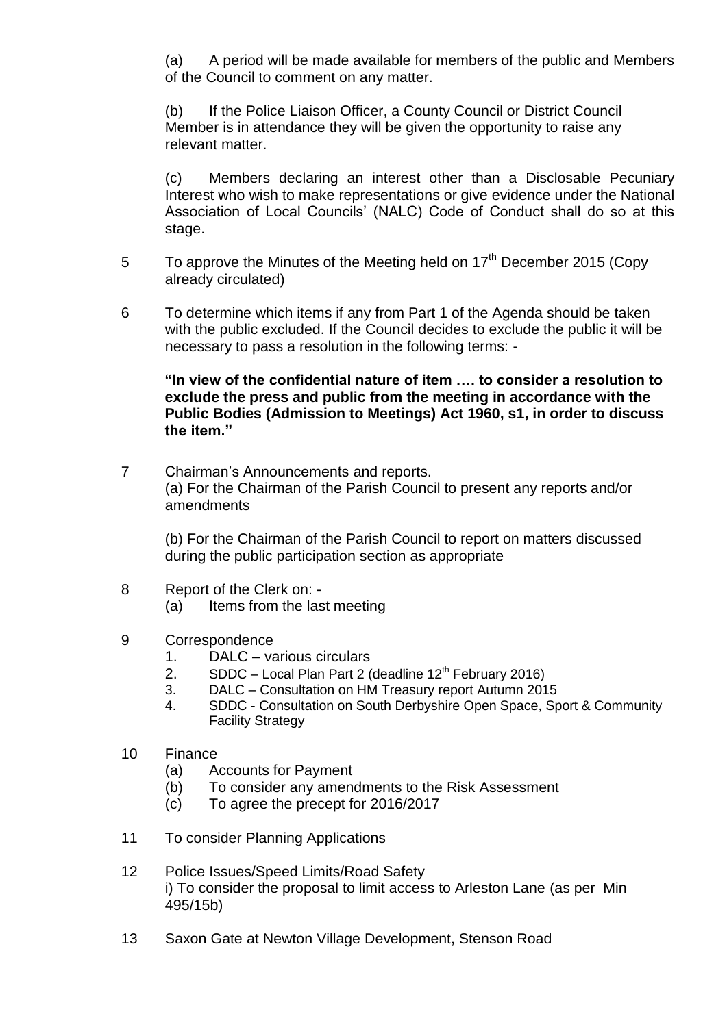(a) A period will be made available for members of the public and Members of the Council to comment on any matter.

(b) If the Police Liaison Officer, a County Council or District Council Member is in attendance they will be given the opportunity to raise any relevant matter.

(c) Members declaring an interest other than a Disclosable Pecuniary Interest who wish to make representations or give evidence under the National Association of Local Councils' (NALC) Code of Conduct shall do so at this stage.

- 5 To approve the Minutes of the Meeting held on  $17<sup>th</sup>$  December 2015 (Copy already circulated)
- 6 To determine which items if any from Part 1 of the Agenda should be taken with the public excluded. If the Council decides to exclude the public it will be necessary to pass a resolution in the following terms: -

**"In view of the confidential nature of item …. to consider a resolution to exclude the press and public from the meeting in accordance with the Public Bodies (Admission to Meetings) Act 1960, s1, in order to discuss the item."** 

7 Chairman's Announcements and reports. (a) For the Chairman of the Parish Council to present any reports and/or amendments

(b) For the Chairman of the Parish Council to report on matters discussed during the public participation section as appropriate

- 8 Report of the Clerk on:
	- (a) Items from the last meeting
- 9 Correspondence
	- 1. DALC various circulars
	- 2. SDDC Local Plan Part 2 (deadline  $12<sup>th</sup>$  February 2016)
	- 3. DALC Consultation on HM Treasury report Autumn 2015
	- 4. SDDC Consultation on South Derbyshire Open Space, Sport & Community Facility Strategy
- 10 Finance
	- (a) Accounts for Payment
	- (b) To consider any amendments to the Risk Assessment
	- (c) To agree the precept for 2016/2017
- 11 To consider Planning Applications
- 12 Police Issues/Speed Limits/Road Safety i) To consider the proposal to limit access to Arleston Lane (as per Min 495/15b)
- 13 Saxon Gate at Newton Village Development, Stenson Road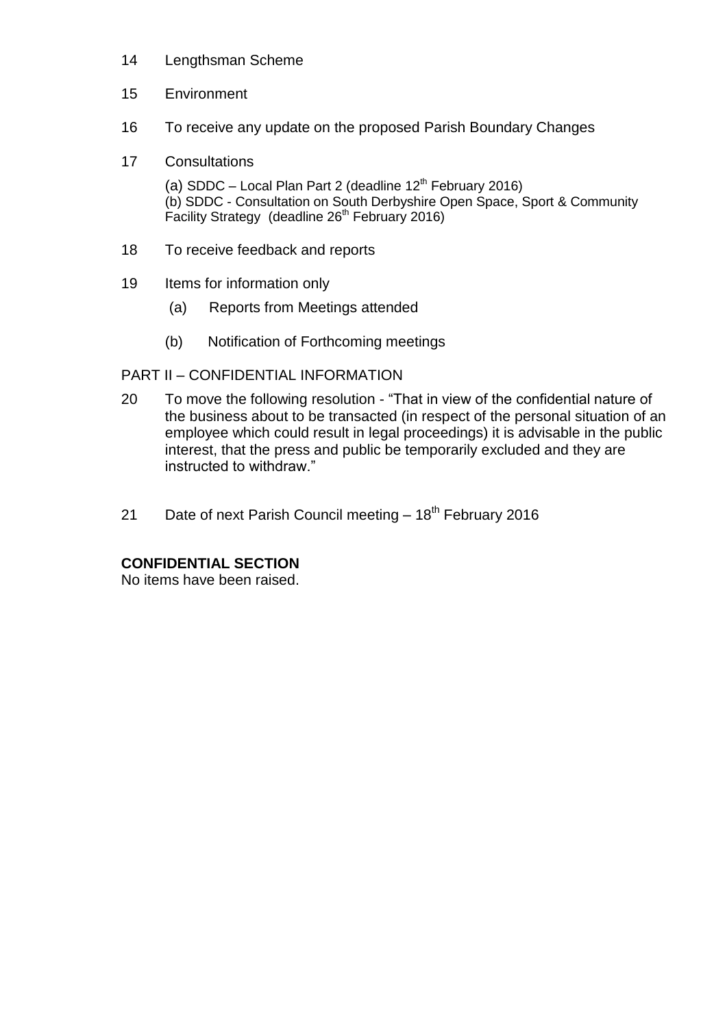- 14 Lengthsman Scheme
- 15 Environment
- 16 To receive any update on the proposed Parish Boundary Changes
- 17 Consultations

(a) SDDC – Local Plan Part 2 (deadline  $12<sup>th</sup>$  February 2016) (b) SDDC - Consultation on South Derbyshire Open Space, Sport & Community Facility Strategy (deadline 26<sup>th</sup> February 2016)

- 18 To receive feedback and reports
- 19 Items for information only
	- (a) Reports from Meetings attended
	- (b) Notification of Forthcoming meetings

# PART II – CONFIDENTIAL INFORMATION

- 20 To move the following resolution "That in view of the confidential nature of the business about to be transacted (in respect of the personal situation of an employee which could result in legal proceedings) it is advisable in the public interest, that the press and public be temporarily excluded and they are instructed to withdraw."
- 21 Date of next Parish Council meeting  $-18<sup>th</sup>$  February 2016

# **CONFIDENTIAL SECTION**

No items have been raised.